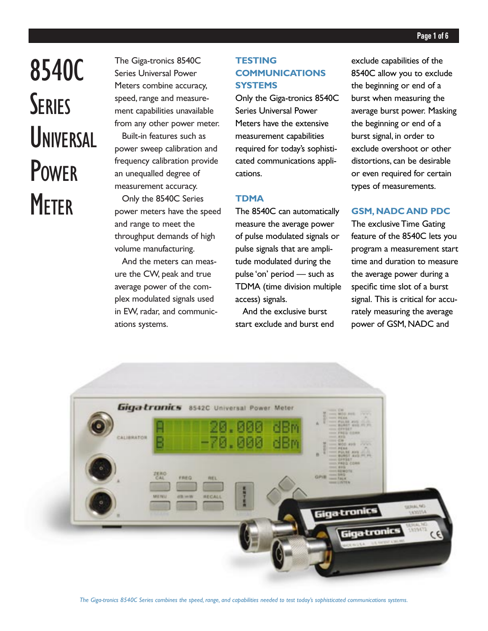# 8540C **SERIES UNIVERSAL** POWER **METER**

The Giga-tronics 8540C Series Universal Power Meters combine accuracy, speed, range and measurement capabilities unavailable from any other power meter. Built-in features such as power sweep calibration and frequency calibration provide an unequalled degree of measurement accuracy. Only the 8540C Series

power meters have the speed and range to meet the throughput demands of high volume manufacturing.

And the meters can measure the CW, peak and true average power of the complex modulated signals used in EW, radar, and communications systems.

# **TESTING COMMUNICATIONS SYSTEMS**

Only the Giga-tronics 8540C Series Universal Power Meters have the extensive measurement capabilities required for today's sophisticated communications applications.

# **TDMA**

The 8540C can automatically measure the average power of pulse modulated signals or pulse signals that are amplitude modulated during the pulse 'on' period — such as TDMA (time division multiple access) signals.

And the exclusive burst start exclude and burst end exclude capabilities of the 8540C allow you to exclude the beginning or end of a burst when measuring the average burst power. Masking the beginning or end of a burst signal, in order to exclude overshoot or other distortions, can be desirable or even required for certain types of measurements.

# **GSM, NADC AND PDC**

The exclusive Time Gating feature of the 8540C lets you program a measurement start time and duration to measure the average power during a specific time slot of a burst signal. This is critical for accurately measuring the average power of GSM, NADC and

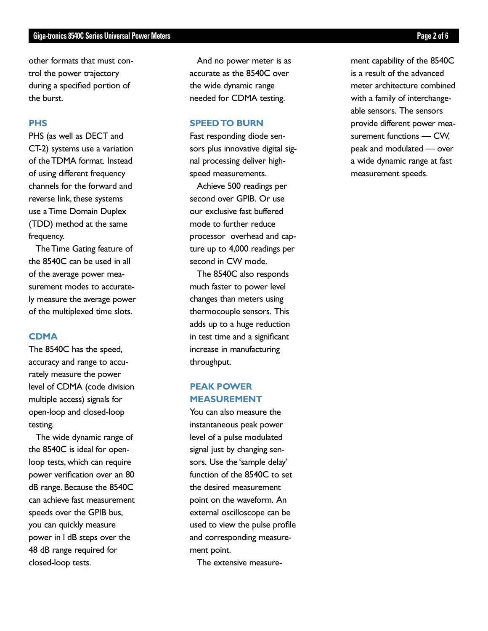## **Giga-tronics 8540C Series Universal Power Meters Page 2 of 6**

other formats that must control the power trajectory during a specified portion of the burst.

# **PHS**

PHS (as well as DECT and CT-2) systems use a variation of the TDMA format. Instead of using different frequency channels for the forward and reverse link, these systems use a Time Domain Duplex (TDD) method at the same frequency.

The Time Gating feature of the 8540C can be used in all of the average power measurement modes to accurately measure the average power of the multiplexed time slots.

## **CDMA**

The 8540C has the speed, accuracy and range to accurately measure the power level of CDMA (code division multiple access) signals for open-loop and closed-loop testing.

The wide dynamic range of the 8540C is ideal for openloop tests, which can require power verification over an 80 dB range. Because the 8540C can achieve fast measurement speeds over the GPIB bus, you can quickly measure power in I dB steps over the 48 dB range required for closed-loop tests.

And no power meter is as accurate as the 8540C over the wide dynamic range needed for CDMA testing.

## **SPEED TO BURN**

Fast responding diode sensors plus innovative digital signal processing deliver highspeed measurements.

Achieve 500 readings per second over GPIB. Or use our exclusive fast buffered mode to further reduce processor overhead and capture up to 4,000 readings per second in CW mode.

The 8540C also responds much faster to power level changes than meters using thermocouple sensors. This adds up to a huge reduction in test time and a significant increase in manufacturing throughput.

# **PEAK POWER MEASUREMENT**

You can also measure the instantaneous peak power level of a pulse modulated signal just by changing sensors. Use the 'sample delay' function of the 8540C to set the desired measurement point on the waveform. An external oscilloscope can be used to view the pulse profile and corresponding measurement point.

The extensive measure-

ment capability of the 8540C is a result of the advanced meter architecture combined with a family of interchangeable sensors. The sensors provide different power measurement functions — CW, peak and modulated — over a wide dynamic range at fast measurement speeds.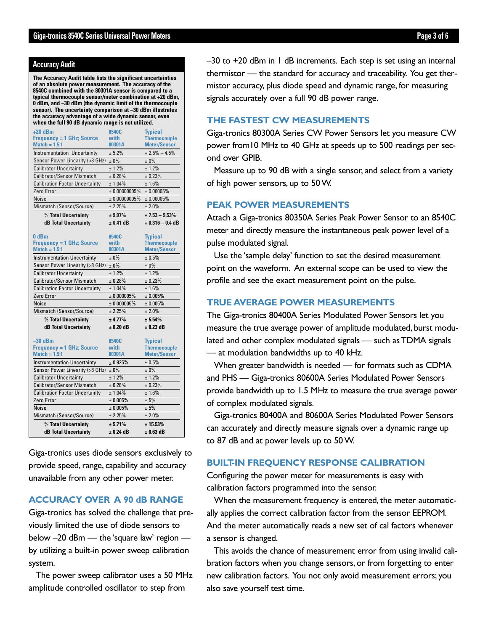## **Accuracy Audit**

**The Accuracy Audit table lists the significant uncertainties of an absolute power measurement. The accuracy of the 8540C combined with the 80301A sensor is compared to a typical thermocouple sensor/meter combination at +20 dBm, 0 dBm, and –30 dBm (the dynamic limit of the thermocouple sensor). The uncertainty comparison at –30 dBm illustrates the accuracy advantage of a wide dynamic sensor, even when the full 90 dB dynamic range is not utilized.**

| $+20$ dBm                             | 8540C            | <b>Typical</b>      |  |  |
|---------------------------------------|------------------|---------------------|--|--|
| <b>Frequency = 1 GHz; Source</b>      | with             | <b>Thermocouple</b> |  |  |
| $Match = 1.5:1$                       | 80301A           | <b>Meter/Sensor</b> |  |  |
| <b>Instrumentation Uncertainty</b>    | ± 5.2%           | $+2.5% - 4.5%$      |  |  |
| Sensor Power Linearity (>8 GHz)       | ±0%              | ± 0%                |  |  |
| <b>Calibrator Uncertainty</b>         | ± 1.2%           | ± 1.2%              |  |  |
| <b>Calibrator/Sensor Mismatch</b>     | ± 0.28%          | ± 0.23%             |  |  |
| <b>Calibration Factor Uncertainty</b> | ±1.04%           | ± 1.6%              |  |  |
| Zero Error                            | $± 0.00000005\%$ | $± 0.00005\%$       |  |  |
| Noise                                 | ± 0.00000005%    | $± 0.00005\%$       |  |  |
| Mismatch (Sensor/Source)              | ± 2.25%          | ± 2.0%              |  |  |
| % Total Uncertainty                   | ± 9.97%          | $+7.53 - 9.53%$     |  |  |
| dB Total Uncertainty                  | $± 0.41$ dB      | $+0.316 - 0.4$ dB   |  |  |
|                                       |                  |                     |  |  |
| 0 <sub>dBm</sub>                      | 8540C            | <b>Typical</b>      |  |  |
| <b>Frequency = 1 GHz; Source</b>      | with             | <b>Thermocouple</b> |  |  |
| $Match = 1.5:1$                       | 80301A           | <b>Meter/Sensor</b> |  |  |
| <b>Instrumentation Uncertainty</b>    | $+0\%$           | ± 0.5%              |  |  |
| Sensor Power Linearity (>8 GHz)       | ± 0%             | ± 0%                |  |  |
| <b>Calibrator Uncertainty</b>         | ± 1.2%           | ± 1.2%              |  |  |
| <b>Calibrator/Sensor Mismatch</b>     | ± 0.28%          | ± 0.23%             |  |  |
| <b>Calibration Factor Uncertainty</b> | ± 1.04%          | ± 1.6%              |  |  |
| Zero Error                            | ± 0.000005%      | $± 0.005\%$         |  |  |
| <b>Noise</b>                          | ± 0.000005%      | ± 0.005%            |  |  |
| Mismatch (Sensor/Source)              | $+2.25%$         | ± 2.0%              |  |  |
| % Total Uncertainty                   | ± 4.77%          | ± 5.54%             |  |  |
| <b>dB Total Uncertainty</b>           | $± 0.20$ dB      | $± 0.23$ dB         |  |  |
|                                       |                  |                     |  |  |
| $-30$ dBm                             | 8540C            | <b>Typical</b>      |  |  |
| <b>Frequency = 1 GHz; Source</b>      | with             | <b>Thermocouple</b> |  |  |
| $Match = 1.5:1$                       | 80301A           | <b>Meter/Sensor</b> |  |  |
| <b>Instrumentation Uncertainty</b>    | $+0.925%$        | ± 0.5%              |  |  |
| Sensor Power Linearity (>8 GHz)       | $±0\%$           | $±0\%$              |  |  |
| <b>Calibrator Uncertainty</b>         | ± 1.2%           | ± 1.2%              |  |  |
| <b>Calibrator/Sensor Mismatch</b>     | ± 0.28%          | ± 0.23%             |  |  |
| <b>Calibration Factor Uncertainty</b> | ± 1.04%          | ±1.6%               |  |  |
| Zero Error                            | $± 0.005\%$      | ± 5%                |  |  |
| <b>Noise</b>                          | ± 0.005%         | ± 5%                |  |  |
| Mismatch (Sensor/Source)              | $+2.25%$         | ± 2.0%              |  |  |
| % Total Uncertainty                   | ± 5.71%          | ± 15.53%            |  |  |
| <b>dB Total Uncertainty</b>           | $+0.24$ dB       | $± 0.63$ dB         |  |  |

Giga-tronics uses diode sensors exclusively to provide speed, range, capability and accuracy unavailable from any other power meter.

# **ACCURACY OVER A 90 dB RANGE**

Giga-tronics has solved the challenge that previously limited the use of diode sensors to below –20 dBm — the 'square law' region by utilizing a built-in power sweep calibration system.

The power sweep calibrator uses a 50 MHz amplitude controlled oscillator to step from

–30 to +20 dBm in 1 dB increments. Each step is set using an internal thermistor — the standard for accuracy and traceability. You get thermistor accuracy, plus diode speed and dynamic range, for measuring signals accurately over a full 90 dB power range.

# **THE FASTEST CW MEASUREMENTS**

Giga-tronics 80300A Series CW Power Sensors let you measure CW power from10 MHz to 40 GHz at speeds up to 500 readings per second over GPIB.

Measure up to 90 dB with a single sensor, and select from a variety of high power sensors, up to 50 W.

# **PEAK POWER MEASUREMENTS**

Attach a Giga-tronics 80350A Series Peak Power Sensor to an 8540C meter and directly measure the instantaneous peak power level of a pulse modulated signal.

Use the 'sample delay' function to set the desired measurement point on the waveform. An external scope can be used to view the profile and see the exact measurement point on the pulse.

# **TRUE AVERAGE POWER MEASUREMENTS**

The Giga-tronics 80400A Series Modulated Power Sensors let you measure the true average power of amplitude modulated, burst modulated and other complex modulated signals — such as TDMA signals — at modulation bandwidths up to 40 kHz.

When greater bandwidth is needed — for formats such as CDMA and PHS — Giga-tronics 80600A Series Modulated Power Sensors provide bandwidth up to 1.5 MHz to measure the true average power of complex modulated signals.

Giga-tronics 80400A and 80600A Series Modulated Power Sensors can accurately and directly measure signals over a dynamic range up to 87 dB and at power levels up to 50 W.

## **BUILT-IN FREQUENCY RESPONSE CALIBRATION**

Configuring the power meter for measurements is easy with calibration factors programmed into the sensor.

When the measurement frequency is entered, the meter automatically applies the correct calibration factor from the sensor EEPROM. And the meter automatically reads a new set of cal factors whenever a sensor is changed.

This avoids the chance of measurement error from using invalid calibration factors when you change sensors, or from forgetting to enter new calibration factors. You not only avoid measurement errors; you also save yourself test time.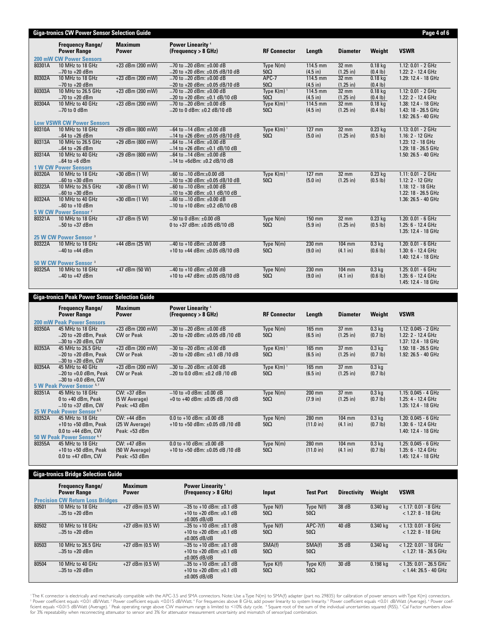|        | <b>Frequency Range/</b><br><b>Power Range</b> | <b>Maximum</b><br><b>Power</b> | <b>Power Linearity 4</b><br>(Frequency > 8 GHz) | <b>RF Connector</b>      | Length     | <b>Diameter</b> | Weight                | <b>VSWR</b>          |  |
|--------|-----------------------------------------------|--------------------------------|-------------------------------------------------|--------------------------|------------|-----------------|-----------------------|----------------------|--|
|        | 200 mW CW Power Sensors                       |                                |                                                 |                          |            |                 |                       |                      |  |
| 80301A | 10 MHz to 18 GHz                              | $+23$ dBm (200 mW)             | $-70$ to $-20$ dBm: $\pm 0.00$ dB               | Type $N(m)$              | 114.5 mm   | $32 \text{ mm}$ | $0.18$ kg             | 1.12: 0.01 - 2 GHz   |  |
|        | $-70$ to $+20$ dBm                            |                                | $-20$ to +20 dBm: $\pm 0.05$ dB/10 dB           | $50\Omega$               | $(4.5$ in) | $(1.25$ in)     | (0.4 lb)              | 1.22: 2 - 12.4 GHz   |  |
| 80302A | 10 MHz to 18 GHz                              | +23 dBm (200 mW)               | $-70$ to $-20$ dBm: $\pm 0.00$ dB               | APC-7                    | 114.5 mm   | 32 mm           | $0.18$ ka             | 1.29: 12.4 - 18 GHz  |  |
|        | $-70$ to $+20$ dBm                            |                                | $-20$ to +20 dBm: $\pm 0.05$ dB/10 dB           | $50\Omega$               | (4.5 in)   | $(1.25$ in)     | (0.4 1 <sub>b</sub> ) |                      |  |
| 80303A | 10 MHz to 26.5 GHz                            | +23 dBm (200 mW)               | $-70$ to $-20$ dBm: $+0.00$ dB                  | Type $K(m)$ <sup>1</sup> | 114.5 mm   | 32 mm           | $0.18$ kg             | 1.12: 0.01 - 2 GHz   |  |
|        | $-70$ to $+20$ dBm                            |                                | $-20$ to $+20$ dBm: $\pm 0.1$ dB/10 dB          | $50\Omega$               | $(4.5$ in) | $(1.25$ in)     | $(0.4 \, lb)$         | 1.22: 2 - 12.4 GHz   |  |
| 80304A | 10 MHz to 40 GHz                              | $+23$ dBm (200 mW)             | $-70$ to $-20$ dBm: $\pm 0.00$ dB               | Type $K(m)$ <sup>1</sup> | 114.5 mm   | 32 mm           | $0.18$ kg             | 1.38: 12.4 - 18 GHz  |  |
|        | $-70$ to 0 dBm                                |                                | $-20$ to 0 dBm: $\pm 0.2$ dB/10 dB              | $50\Omega$               | $(4.5$ in) | $(1.25$ in)     | (0.4 1 <sub>b</sub> ) | 1.43: 18 - 26.5 GHz  |  |
|        |                                               |                                |                                                 |                          |            |                 |                       | 1.92: 26.5 - 40 GHz  |  |
|        | <b>Low VSWR CW Power Sensors</b>              |                                |                                                 |                          |            |                 |                       |                      |  |
| 80310A | 10 MHz to 18 GHz                              | +29 dBm (800 mW)               | $-64$ to $-14$ dBm: $\pm 0.00$ dB               | Type $K(m)$ <sup>1</sup> | 127 mm     | $32$ mm         | $0.23$ kg             | 1.13: 0.01 - 2 GHz   |  |
|        | $-64$ to $+26$ dBm                            |                                | $-14$ to +26 dBm: $\pm$ 0.05 dB/10 dB           | $50\Omega$               | (5.0 in)   | $(1.25$ in)     | (0.5 1 <sub>b</sub> ) | 1.16: 2 - 12 GHz     |  |
| 80313A | 10 MHz to 26.5 GHz                            | +29 dBm (800 mW)               | $-64$ to $-14$ dBm: $\pm 0.00$ dB               |                          |            |                 |                       | 1.23: 12 - 18 GHz    |  |
|        | $-64$ to $+26$ dBm                            |                                | $-14$ to +26 dBm: $\pm$ 0.1 dB/10 dB            |                          |            |                 |                       | 1.29: 18 - 26.5 GHz  |  |
| 80314A | 10 MHz to 40 GHz                              | +29 dBm (800 mW)               | $-64$ to $-14$ dBm: $\pm 0.00$ dB               |                          |            |                 |                       | 1.50: 26.5 - 40 GHz  |  |
|        | $-64$ to $+6$ dBm                             |                                | $-14$ to +6dBm: ±0.2 dB/10 dB                   |                          |            |                 |                       |                      |  |
|        | <b>1 W CW Power Sensors</b>                   |                                |                                                 |                          |            |                 |                       |                      |  |
| 80320A | 10 MHz to 18 GHz                              | $+30$ dBm (1 W)                | $-60$ to $-10$ dBm:+0.00 dB                     | Type $K(m)$ <sup>1</sup> | 127 mm     | 32 mm           | $0.23$ kg             | 1.11: 0.01 - 2 GHz   |  |
|        | $-60$ to $+30$ dBm                            |                                | $-10$ to +30 dBm: $\pm 0.05$ dB/10 dB           | $50\Omega$               | (5.0 in)   | $(1.25$ in)     | (0.5 1 <sub>b</sub> ) | 1.12: 2 - 12 GHz     |  |
| 80323A | 10 MHz to 26.5 GHz                            | $+30$ dBm (1 W)                | $-60$ to $-10$ dBm: $\pm 0.00$ dB               |                          |            |                 |                       | 1.18: 12 - 18 GHz    |  |
|        | $-60$ to $+30$ dBm                            |                                | $-10$ to +30 dBm: $\pm 0.1$ dB/10 dB            |                          |            |                 |                       | 1.22: 18 - 26.5 GHz  |  |
| 80324A | 10 MHz to 40 GHz                              | $+30$ dBm $(1 W)$              | $-60$ to $-10$ dBm: $\pm 0.00$ dB               |                          |            |                 |                       | 1.36: 26.5 - 40 GHz  |  |
|        | $-60$ to $+10$ dBm                            |                                | $-10$ to +10 dBm: $\pm 0.2$ dB/10 dB            |                          |            |                 |                       |                      |  |
|        | 5 W CW Power Sensor <sup>2</sup>              |                                |                                                 |                          |            |                 |                       |                      |  |
| 80321A | 10 MHz to 18 GHz                              | $+37$ dBm (5 W)                | $-50$ to 0 dBm: $\pm 0.00$ dB                   | Type $N(m)$              | 150 mm     | $32 \text{ mm}$ | $0.23$ kg             | $1.20: 0.01 - 6 GHz$ |  |
|        | $-50$ to $+37$ dBm                            |                                | 0 to +37 dBm: ±0.05 dB/10 dB                    | $50\Omega$               | $(5.9$ in) | $(1.25$ in)     | (0.5 1 <sub>b</sub> ) | 1.25: 6 - 12.4 GHz   |  |
|        |                                               |                                |                                                 |                          |            |                 |                       | 1.35: 12.4 - 18 GHz  |  |
|        | 25 W CW Power Sensor <sup>3</sup>             |                                |                                                 |                          |            |                 |                       |                      |  |
| 80322A | 10 MHz to 18 GHz                              | +44 dBm (25 W)                 | $-40$ to +10 dBm: $\pm 0.00$ dB                 | Type N(m)                | 230 mm     | 104 mm          | $0.3$ kg              | 1.20: 0.01 - 6 GHz   |  |
|        | $-40$ to $+44$ dBm                            |                                | +10 to +44 dBm: ±0.05 dB/10 dB                  | $50\Omega$               | (9.0 in)   | (4.1 in)        | (0.6 1 <sub>b</sub> ) | 1.30: 6 - 12.4 GHz   |  |
|        |                                               |                                |                                                 |                          |            |                 |                       | 1.40: 12.4 - 18 GHz  |  |
|        | 50 W CW Power Sensor <sup>3</sup>             |                                |                                                 |                          |            |                 |                       |                      |  |
| 80325A | 10 MHz to 18 GHz                              | +47 dBm (50 W)                 | $-40$ to +10 dBm: $\pm 0.00$ dB                 | Type N(m)                | 230 mm     | 104 mm          | 0.3 <sub>kq</sub>     | 1.25: 0.01 - 6 GHz   |  |
|        | $-40$ to $+47$ dBm                            |                                | +10 to +47 dBm: ±0.05 dB/10 dB                  | $50\Omega$               | (9.0 in)   | (4.1 in)        | (0.6 1 <sub>b</sub> ) | 1.35: 6 - 12.4 GHz   |  |
|        |                                               |                                |                                                 |                          |            |                 |                       | 1.45: 12.4 - 18 GHz  |  |

|        | Giga-tronics Peak Power Sensor Selection Guide |                                |                                                 |                          |                |                 |                   |                       |  |
|--------|------------------------------------------------|--------------------------------|-------------------------------------------------|--------------------------|----------------|-----------------|-------------------|-----------------------|--|
|        | <b>Frequency Range/</b><br><b>Power Range</b>  | <b>Maximum</b><br><b>Power</b> | <b>Power Linearity 4</b><br>(Frequency > 8 GHz) | <b>RF Connector</b>      | Length         | <b>Diameter</b> | Weight            | <b>VSWR</b>           |  |
|        | <b>200 mW Peak Power Sensors</b>               |                                |                                                 |                          |                |                 |                   |                       |  |
| 80350A | 45 MHz to 18 GHz                               | $+23$ dBm (200 mW)             | $-30$ to $-20$ dBm: $\pm 0.00$ dB               | Type N(m)                | 165 mm         | $37 \text{ mm}$ | 0.3 <sub>kq</sub> | $1.12: 0.045 - 2 GHz$ |  |
|        | $-20$ to $+20$ dBm, Peak                       | <b>CW</b> or Peak              | $-20$ to +20 dBm: $\pm 0.05$ dB /10 dB          | $50\Omega$               | $(6.5$ in)     | $(1.25$ in)     | (0.7 1b)          | 1.22: 2 - 12.4 GHz    |  |
|        | $-30$ to $+20$ dBm, CW                         |                                |                                                 |                          |                |                 |                   | 1.37: 12.4 - 18 GHz   |  |
| 80353A | 45 MHz to 26.5 GHz                             | $+23$ dBm (200 mW)             | $-30$ to $-20$ dBm: $+0.00$ dB                  | Type $K(m)$ <sup>1</sup> | $165$ mm       | $37 \text{ mm}$ | 0.3 <sub>kq</sub> | 1.50: 18 - 26.5 GHz   |  |
|        | $-20$ to $+20$ dBm, Peak                       | <b>CW</b> or Peak              | $-20$ to +20 dBm: $\pm$ 0.1 dB /10 dB           | $50\Omega$               | $(6.5$ in)     | $(1.25$ in)     | (0.7 1b)          | 1.92: 26.5 - 40 GHz   |  |
|        | $-30$ to $+20$ dBm, CW                         |                                |                                                 |                          |                |                 |                   |                       |  |
| 80354A | 45 MHz to 40 GHz                               | $+23$ dBm (200 mW)             | $-30$ to $-20$ dBm: $\pm 0.00$ dB               | Type $K(m)$ <sup>1</sup> | $165$ mm       | $37 \text{ mm}$ | 0.3 <sub>kq</sub> |                       |  |
|        | $-20$ to $+0.0$ dBm, Peak                      | <b>CW</b> or Peak              | $-20$ to 0.0 dBm: $\pm$ 0.2 dB /10 dB           | $50\Omega$               | $(6.5$ in)     | $(1.25$ in)     | $(0.7 \, lb)$     |                       |  |
|        | $-30$ to $+0.0$ dBm, CW                        |                                |                                                 |                          |                |                 |                   |                       |  |
|        | 5 W Peak Power Sensor <sup>5,7</sup>           |                                |                                                 |                          |                |                 |                   |                       |  |
| 80351A | 45 MHz to 18 GHz                               | $CW: +37$ dBm                  | $-10$ to +0 dBm: $\pm 0.00$ dB                  | Type N(m)                | 200 mm         | $37 \text{ mm}$ | 0.3 <sub>kq</sub> | $1.15: 0.045 - 4 GHz$ |  |
|        | $0$ to $+40$ dBm, Peak                         | (5 W Average)                  | +0 to +40 dBm: $\pm$ 0.05 dB /10 dB             | $50\Omega$               | $(7.9 \infty)$ | $(1.25$ in)     | (0.7 1b)          | 1.25: 4 - 12.4 GHz    |  |
|        | $-10$ to +37 dBm, CW                           | Peak: +43 dBm                  |                                                 |                          |                |                 |                   | 1.35: 12.4 - 18 GHz   |  |
|        | 25 W Peak Power Sensor <sup>6,7</sup>          |                                |                                                 |                          |                |                 |                   |                       |  |
| 80352A | 45 MHz to 18 GHz                               | $CW: +44$ dBm                  | 0.0 to $+10$ dBm: $+0.00$ dB                    | Type $N(m)$              | 280 mm         | $104$ mm        | $0.3$ kg          | $1.20: 0.045 - 6 GHz$ |  |
|        | $+10$ to $+50$ dBm, Peak                       | (25 W Average)                 | +10 to +50 dBm: $\pm$ 0.05 dB /10 dB            | $50\Omega$               | (11.0 in)      | (4.1 in)        | (0.7 1b)          | 1.30: 6 - 12.4 GHz    |  |
|        | $0.0$ to $+44$ dBm, CW                         | Peak: $+53$ dBm                |                                                 |                          |                |                 |                   | 1.40: 12.4 - 18 GHz   |  |
|        | 50 W Peak Power Sensor <sup>6,7</sup>          |                                |                                                 |                          |                |                 |                   |                       |  |
| 80355A | 45 MHz to 18 GHz                               | CW: +47 dBm                    | 0.0 to +10 dBm: $\pm$ 0.00 dB                   | Type $N(m)$              | 280 mm         | $104$ mm        | 0.3 <sub>kq</sub> | 1.25: 0.045 - 6 GHz   |  |
|        | $+10$ to $+50$ dBm, Peak                       | (50 W Average)                 | +10 to +50 dBm: $\pm 0.05$ dB /10 dB            | $50\Omega$               | (11.0 in)      | (4.1 in)        | (0.7 1b)          | 1.35: 6 - 12.4 GHz    |  |
|        | $0.0$ to $+47$ dBm. CW                         | Peak: +53 dBm                  |                                                 |                          |                |                 |                   | 1.45: 12.4 - 18 GHz   |  |
|        |                                                |                                |                                                 |                          |                |                 |                   |                       |  |

| <b>Giga-tronics Bridge Selection Guide</b> |                                                                                          |                                |                                                                                      |                           |                           |                    |            |                                                      |  |
|--------------------------------------------|------------------------------------------------------------------------------------------|--------------------------------|--------------------------------------------------------------------------------------|---------------------------|---------------------------|--------------------|------------|------------------------------------------------------|--|
|                                            | <b>Frequency Range/</b><br><b>Power Range</b><br><b>Precision CW Return Loss Bridges</b> | <b>Maximum</b><br><b>Power</b> | <b>Power Linearity 4</b><br>(Frequency > 8 GHz)                                      | Input                     | <b>Test Port</b>          | <b>Directivity</b> | Weight     | <b>VSWR</b>                                          |  |
| 80501                                      | 10 MHz to 18 GHz<br>$-35$ to $+20$ dBm                                                   | $+27$ dBm (0.5 W)              | $-35$ to +10 dBm: $\pm 0.1$ dB<br>+10 to +20 dBm: $\pm$ 0.1 dB<br>$\pm 0.005$ dB/dB  | Type $N(f)$<br>$50\Omega$ | Type $N(f)$<br>$50\Omega$ | 38 dB              | 0.340 kg   | $< 1.17: 0.01 - 8$ GHz<br>$< 1.27: 8 - 18$ GHz       |  |
| 80502                                      | 10 MHz to 18 GHz<br>$-35$ to $+20$ dBm                                                   | $+27$ dBm (0.5 W)              | $-35$ to +10 dBm: $\pm 0.1$ dB<br>$+10$ to $+20$ dBm: $+0.1$ dB<br>$\pm 0.005$ dB/dB | Type $N(f)$<br>$50\Omega$ | $APC-7(f)$<br>$50\Omega$  | 40 dB              | 0.340 kg   | $< 1.13$ : 0.01 - 8 GHz<br>$<$ 1.22: 8 - 18 GHz      |  |
| 80503                                      | 10 MHz to 26.5 GHz<br>$-35$ to $+20$ dBm                                                 | $+27$ dBm (0.5 W)              | $-35$ to +10 dBm: $\pm 0.1$ dB<br>$+10$ to $+20$ dBm: $+0.1$ dB<br>$\pm 0.005$ dB/dB | SMA(f)<br>$50\Omega$      | SMA(f)<br>$50\Omega$      | 35 dB              | $0.340$ kg | $<$ 1.22: 0.01 - 18 GHz<br>$<$ 1.27: 18 - 26.5 GHz   |  |
| 80504                                      | 10 MHz to 40 GHz<br>$-35$ to $+20$ dBm                                                   | $+27$ dBm (0.5 W)              | $-35$ to +10 dBm: $\pm 0.1$ dB<br>$+10$ to $+20$ dBm: $+0.1$ dB<br>$\pm 0.005$ dB/dB | Type $K(f)$<br>$50\Omega$ | Type $K(f)$<br>$50\Omega$ | 30 dB              | 0.198 ka   | $<$ 1.35: 0.01 - 26.5 GHz<br>$<$ 1.44: 26.5 - 40 GHz |  |

' The K connector is electrically and mechanically compatible with the APC-3.5 and SMA connectors. Note: Use a Type N(m) to SMA(f) adapter (part no. 29835) for calibration of power sensors with Type K(m) connectors.<br>? Powe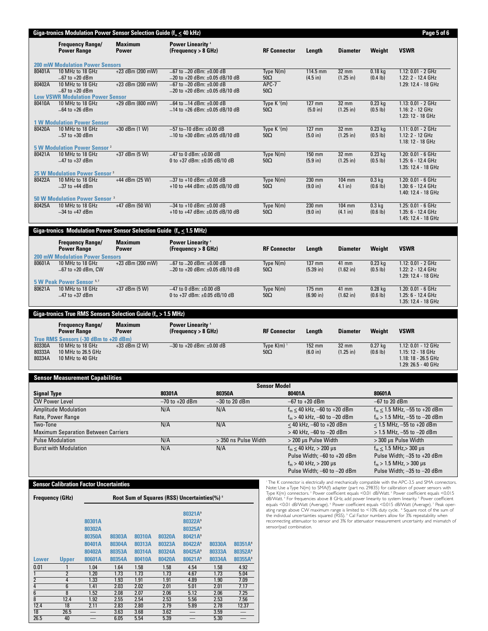|                            | Giga-tronics Modulation Power Sensor Selection Guide ( $f_m \leq 40$ kHz)                 |                            |                                |                                        |                            |                                                                                                               |                  |                                            |                                        |                                                                                               |                              |                                    | Page 5 of 6                                                                                                                                                                                                                                                                                                                                                                                                                                                  |
|----------------------------|-------------------------------------------------------------------------------------------|----------------------------|--------------------------------|----------------------------------------|----------------------------|---------------------------------------------------------------------------------------------------------------|------------------|--------------------------------------------|----------------------------------------|-----------------------------------------------------------------------------------------------|------------------------------|------------------------------------|--------------------------------------------------------------------------------------------------------------------------------------------------------------------------------------------------------------------------------------------------------------------------------------------------------------------------------------------------------------------------------------------------------------------------------------------------------------|
|                            | <b>Power Range</b>                                                                        | <b>Frequency Range/</b>    | <b>Maximum</b><br>Power        |                                        |                            | <b>Power Linearity 4</b><br>(Frequency > 8 GHz)                                                               |                  |                                            | <b>RF Connector</b>                    | Length                                                                                        | <b>Diameter</b>              | Weight                             | <b>VSWR</b>                                                                                                                                                                                                                                                                                                                                                                                                                                                  |
|                            | <b>200 mW Modulation Power Sensors</b>                                                    |                            |                                |                                        |                            |                                                                                                               |                  |                                            |                                        |                                                                                               |                              |                                    |                                                                                                                                                                                                                                                                                                                                                                                                                                                              |
| 80401A<br>80402A           | 10 MHz to 18 GHz<br>$-67$ to $+20$ dBm<br>10 MHz to 18 GHz                                |                            |                                | +23 dBm (200 mW)<br>$+23$ dBm (200 mW) |                            | $-67$ to $-20$ dBm: $\pm0.00$ dB<br>$-20$ to +20 dBm: $\pm 0.05$ dB/10 dB<br>$-67$ to $-20$ dBm: $\pm0.00$ dB |                  |                                            | Type $N(m)$<br>$50\Omega$<br>APC-7     | 114.5 mm<br>$(4.5 \text{ in})$                                                                | 32 mm<br>$(1.25 \text{ in})$ | $0.18$ kg<br>(0.4 1 <sub>b</sub> ) | 1.12: 0.01 - 2 GHz<br>1.22: 2 - 12.4 GHz<br>1.29: 12.4 - 18 GHz                                                                                                                                                                                                                                                                                                                                                                                              |
|                            | $-67$ to $+20$ dBm<br><b>Low VSWR Modulation Power Sensor</b>                             |                            |                                |                                        |                            | $-20$ to +20 dBm: $\pm 0.05$ dB/10 dB<br>$50\Omega$                                                           |                  |                                            |                                        |                                                                                               |                              |                                    |                                                                                                                                                                                                                                                                                                                                                                                                                                                              |
| 80410A                     | 10 MHz to 18 GHz<br>$-64$ to $+26$ dBm<br><b>1 W Modulation Power Sensor</b>              |                            |                                | $+29$ dBm (800 mW)                     |                            | $-64$ to $-14$ dBm: $\pm 0.00$ dB<br>Type $K'(m)$<br>$-14$ to +26 dBm: ±0.05 dB/10 dB<br>$50\Omega$           |                  |                                            |                                        | 127 mm<br>(5.0 in)                                                                            | 32 mm<br>$(1.25 \text{ in})$ | $0.23$ kg<br>$(0.5 \, lb)$         | 1.13: 0.01 - 2 GHz<br>$1.16: 2 - 12 \text{ GHz}$<br>1.23: 12 - 18 GHz                                                                                                                                                                                                                                                                                                                                                                                        |
| 80420A                     | 10 MHz to 18 GHz<br>$-57$ to $+30$ dBm                                                    |                            |                                | $+30$ dBm $(1 W)$                      |                            | -57 to-10 dBm: ±0.00 dB<br>$-10$ to +30 dBm: ±0.05 dB/10 dB                                                   |                  |                                            | Type $K \sqrt[1]{m}$<br>$50\Omega$     | 127 mm<br>(5.0 in)                                                                            | 32 mm<br>$(1.25 \text{ in})$ | $0.23$ kg<br>$(0.5 \, lb)$         | $1.11: 0.01 - 2 GHz$<br>1.12: 2 - 12 GHz<br>1.18: 12 - 18 GHz                                                                                                                                                                                                                                                                                                                                                                                                |
| 80421A                     | <b>5 W Modulation Power Sensor <sup>2</sup></b><br>10 MHz to 18 GHz<br>$-47$ to $+37$ dBm |                            |                                | $+37$ dBm (5 W)                        |                            | $-47$ to 0 dBm: $\pm 0.00$ dB<br>0 to +37 dBm: ±0.05 dB/10 dB                                                 |                  |                                            | Type N(m)<br>$50\Omega$                | 150 mm<br>$(5.9 \text{ in})$                                                                  | 32 mm<br>$(1.25$ in)         | $0.23$ kg<br>(0.5 1 <sub>b</sub> ) | 1.20: 0.01 - 6 GHz<br>1.25: 6 - 12.4 GHz<br>1.35: 12.4 - 18 GHz                                                                                                                                                                                                                                                                                                                                                                                              |
| 80422A                     | <b>25 W Modulation Power Sensor<sup>3</sup></b><br>10 MHz to 18 GHz<br>$-37$ to $+44$ dBm |                            |                                | $+44$ dBm (25 W)                       |                            | $-37$ to +10 dBm: $\pm0.00$ dB<br>+10 to +44 dBm: $\pm$ 0.05 dB/10 dB                                         |                  |                                            | Type $N(m)$<br>$50\Omega$              | 230 mm<br>(9.0 in)                                                                            | 104 mm<br>$4.1$ in)          | $0.3$ kg<br>(0.6 1 <sub>b</sub> )  | 1.20: 0.01 - 6 GHz<br>$1.30: 6 - 12.4 GHz$<br>1.40: 12.4 - 18 GHz                                                                                                                                                                                                                                                                                                                                                                                            |
| 80425A                     | <b>50 W Modulation Power Sensor 3</b><br>10 MHz to 18 GHz<br>$-34$ to $+47$ dBm           |                            |                                | +47 dBm (50 W)                         |                            | $-34$ to +10 dBm: $\pm0.00$ dB<br>+10 to +47 dBm: ±0.05 dB/10 dB                                              |                  |                                            | Type $N(m)$<br>$50\Omega$              | 230 mm<br>(9.0 in)                                                                            | 104 mm<br>(4.1 in)           | $0.3$ kg<br>(0.6 1 <sub>b</sub> )  | $1.25: 0.01 - 6 GHz$<br>1.35: 6 - 12.4 GHz<br>1.45: 12.4 - 18 GHz                                                                                                                                                                                                                                                                                                                                                                                            |
|                            | Giga-tronics Modulation Power Sensor Selection Guide $(f_m \leq 1.5 \text{ MHz})$         |                            |                                |                                        |                            |                                                                                                               |                  |                                            |                                        |                                                                                               |                              |                                    |                                                                                                                                                                                                                                                                                                                                                                                                                                                              |
|                            | <b>Frequency Range/</b><br><b>Power Range</b><br><b>200 mW Modulation Power Sensors</b>   |                            | <b>Maximum</b><br><b>Power</b> |                                        |                            | <b>Power Linearity 4</b><br>(Frequency > 8 GHz)                                                               |                  |                                            | <b>RF Connector</b>                    | Length                                                                                        | Diameter                     | Weight                             | <b>VSWR</b>                                                                                                                                                                                                                                                                                                                                                                                                                                                  |
| 80601A                     | 10 MHz to 18 GHz                                                                          | $-67$ to $+20$ dBm, CW     |                                | +23 dBm (200 mW)                       |                            | -67 to -20 dBm: ±0.00 dB<br>-20 to +20 dBm: ±0.05 dB/10 dB                                                    |                  |                                            | Type N(m)<br>$50\Omega$                | 137 mm<br>$(5.39 \text{ in})$                                                                 | 41 mm<br>(1.62 in)           | $0.23$ kg<br>$(0.5 \, lb)$         | 1.12: 0.01 - 2 GHz<br>1.22: 2 - 12.4 GHz<br>1.29: 12.4 - 18 GHz                                                                                                                                                                                                                                                                                                                                                                                              |
| 80621A                     | 5 W Peak Power Sensor <sup>5,7</sup><br>10 MHz to 18 GHz<br>$-47$ to $+37$ dBm            |                            |                                | $+37$ dBm (5 W)                        |                            | $-47$ to 0 dBm: $\pm 0.00$ dB<br>0 to +37 dBm: ±0.05 dB/10 dB                                                 |                  |                                            | Type N(m)<br>$50\Omega$                | 175 mm<br>(6.90 in)                                                                           | 41 mm<br>(1.62 in)           | $0.28$ kg<br>(0.6 1 <sub>b</sub> ) | 1.20: 0.01 - 6 GHz<br>1.25: 6 - 12.4 GHz<br>1.35: 12.4 - 18 GHz                                                                                                                                                                                                                                                                                                                                                                                              |
|                            | Giga-tronics True RMS Sensors Selection Guide (f <sub>m</sub> > 1.5 MHz)                  |                            |                                |                                        |                            |                                                                                                               |                  |                                            |                                        |                                                                                               |                              |                                    |                                                                                                                                                                                                                                                                                                                                                                                                                                                              |
|                            | <b>Frequency Range/</b><br><b>Power Range</b><br>True RMS Sensors (-30 dBm to +20 dBm)    |                            | <b>Maximum</b><br><b>Power</b> |                                        |                            | <b>Power Linearity 4</b><br>(Frequency > 8 GHz)                                                               |                  |                                            | <b>RF Connector</b>                    | Length                                                                                        | Diameter                     | Weight                             | <b>VSWR</b>                                                                                                                                                                                                                                                                                                                                                                                                                                                  |
| 80330A<br>80333A<br>80334A | 10 MHz to 18 GHz<br>10 MHz to 26.5 GHz<br>10 MHz to 40 GHz                                |                            |                                | $+33$ dBm (2 W)                        |                            | $-30$ to +20 dBm: $\pm 0.00$ dB                                                                               |                  |                                            | Type $K(m)$ <sup>1</sup><br>$50\Omega$ | 152 mm<br>(6.0 in)                                                                            | 32 mm<br>$(1.25$ in)         | $0.27$ kg<br>(0.6 1 <sub>b</sub> ) | 1.12: 0.01 - 12 GHz<br>1.15: 12 - 18 GHz<br>1.18: 18 - 26.5 GHz<br>1.29: 26.5 - 40 GHz                                                                                                                                                                                                                                                                                                                                                                       |
|                            | <b>Sensor Measurement Capabilities</b>                                                    |                            |                                |                                        |                            |                                                                                                               |                  |                                            | <b>Sensor Model</b>                    |                                                                                               |                              |                                    |                                                                                                                                                                                                                                                                                                                                                                                                                                                              |
| <b>Signal Type</b>         |                                                                                           |                            |                                |                                        | 80301A                     |                                                                                                               | 80350A           |                                            |                                        | 80401A                                                                                        |                              | 80601A                             |                                                                                                                                                                                                                                                                                                                                                                                                                                                              |
| <b>CW Power Level</b>      | <b>Amplitude Modulation</b>                                                               |                            |                                |                                        | N/A                        | $-70$ to $+20$ dBm                                                                                            | N/A              | $-30$ to 20 dBm                            |                                        | $-67$ to $+20$ dBm<br>$f_m \le 40$ kHz, -60 to +20 dBm                                        |                              | $-67$ to 20 dBm                    | $f_m \le 1.5$ MHz, -55 to +20 dBm                                                                                                                                                                                                                                                                                                                                                                                                                            |
| Two-Tone                   | Rate, Power Range<br><b>Maximum Separation Between Carriers</b>                           |                            |                                |                                        | N/A                        |                                                                                                               | N/A              |                                            |                                        | $f_m > 40$ kHz, -60 to -20 dBm<br>$\leq$ 40 kHz, -60 to +20 dBm<br>$>$ 40 kHz, -60 to -20 dBm |                              |                                    | $f_m > 1.5$ MHz, -55 to -20 dBm<br>$\leq$ 1.5 MHz, -55 to +20 dBm                                                                                                                                                                                                                                                                                                                                                                                            |
|                            | <b>Pulse Modulation</b>                                                                   |                            |                                |                                        | N/A                        |                                                                                                               |                  | > 350 ns Pulse Width                       |                                        | > 200 µs Pulse Width                                                                          |                              |                                    | $>$ 1.5 MHz, -55 to -20 dBm<br>> 300 µs Pulse Width                                                                                                                                                                                                                                                                                                                                                                                                          |
|                            | <b>Burst with Modulation</b>                                                              |                            |                                |                                        | N/A                        |                                                                                                               | N/A              |                                            |                                        | $f_m \leq 40$ kHz, > 200 µs<br>Pulse Width; -60 to +20 dBm                                    |                              |                                    | $f_m \leq 1.5$ MHz, $> 300 \mu s$<br>Pulse Width; -35 to +20 dBm                                                                                                                                                                                                                                                                                                                                                                                             |
|                            |                                                                                           |                            |                                |                                        |                            |                                                                                                               |                  |                                            |                                        | $f_m > 40$ kHz, $> 200$ µs<br>Pulse Width; -60 to -20 dBm                                     |                              |                                    | $f_m > 1.5$ MHz, $> 300$ µs<br>Pulse Width; -35 to -20 dBm                                                                                                                                                                                                                                                                                                                                                                                                   |
|                            | <b>Sensor Calibration Factor Uncertainties</b>                                            |                            |                                |                                        |                            |                                                                                                               |                  |                                            |                                        |                                                                                               |                              |                                    | The K connector is electrically and mechanically compatible with the APC-3.5 and SMA connectors                                                                                                                                                                                                                                                                                                                                                              |
| <b>Frequency (GHz)</b>     |                                                                                           |                            |                                |                                        |                            | <b>Root Sum of Squares (RSS) Uncertainties (%) 8</b>                                                          |                  |                                            |                                        |                                                                                               |                              |                                    | Note: Use a Type N(m) to SMA(f) adapter (part no. 29835) for calibration of power sensors with<br>Type K(m) connectors. <sup>2</sup> Power coefficient equals <0.01 dB/Watt. <sup>3</sup> Power coefficient equals <0.015<br>dB/Watt. <sup>4</sup> For frequencies above 8 GHz, add power linearity to system linearity. <sup>5</sup> Power coefficient<br>equals <0.01 dB/Watt (Average). 6 Power coefficient equals <0.015 dB/Watt (Average). 7 Peak oper- |
|                            |                                                                                           | 80301A<br>80302A           |                                |                                        |                            | 80321A <sup>9</sup><br>80322A <sup>9</sup><br>80325A <sup>9</sup>                                             |                  |                                            | sensor/pad combination.                |                                                                                               |                              |                                    | ating range above CW maximum range is limited to <10% duty cycle. <sup>8</sup> Square root of the sum of<br>the individual uncertainties squared (RSS). <sup>9</sup> Cal Factor numbers allow for 3% repeatability when<br>reconnecting attenuator to sensor and 3% for attenuator measurement uncertainty and mismatch of                                                                                                                                   |
|                            |                                                                                           | 80350A<br>80401A<br>80402A | 80303A<br>80304A<br>80353A     | 80310A<br>80313A<br>80314A             | 80320A<br>80323A<br>80324A | 80421A <sup>9</sup><br>80422A <sup>9</sup><br>80425A <sup>9</sup>                                             | 80330A<br>80333A | 80351A <sup>9</sup><br>80352A <sup>9</sup> |                                        |                                                                                               |                              |                                    |                                                                                                                                                                                                                                                                                                                                                                                                                                                              |
| <b>Lower</b><br>0.01       | <b>Upper</b>                                                                              | 80601A<br>1.04             | 80354A<br>1.64                 | 80410A<br>1.58                         | 80420A<br>1.58             | 80621A <sup>9</sup><br>4.54                                                                                   | 80334A<br>1.58   | 80355A <sup>9</sup><br>4.92                |                                        |                                                                                               |                              |                                    |                                                                                                                                                                                                                                                                                                                                                                                                                                                              |

1 2 1.20 1.73 1.73 1.73 4.67 1.73 5.04 2 4 1.33 1.93 1.91 1.91 4.89 1.90 7.09 4 6 1.41 2.03 2.02 2.01 5.01 2.01 7.17 6 8 1.52 2.08 2.07 2.06 5.12 2.06 7.25 8 12.4 1.92 2.55 2.54 2.53 5.56 2.53 7.56 12.4 18 2.11 2.83 2.80 2.79 5.89 2.78 12.37 18 26.5 — 3.63 3.68 3.62 — 3.59 — 26.5 40 — 6.05 5.54 5.39 — 5.30 —